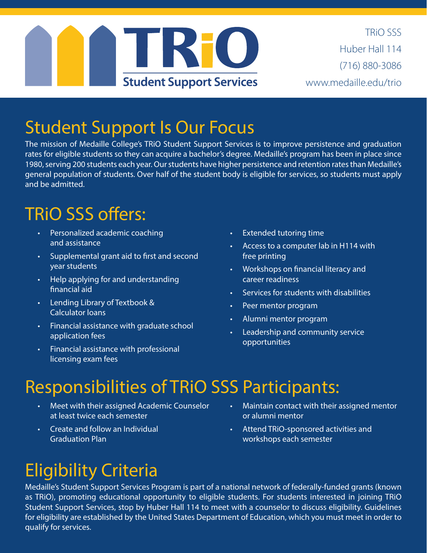

TRiO SSS Huber Hall 114 (716) 880-3086 www.medaille.edu/trio

#### Student Support Is Our Focus

The mission of Medaille College's TRiO Student Support Services is to improve persistence and graduation rates for eligible students so they can acquire a bachelor's degree. Medaille's program has been in place since 1980, serving 200 students each year. Our students have higher persistence and retention rates than Medaille's general population of students. Over half of the student body is eligible for services, so students must apply and be admitted.

## TRiO SSS offers:

- Personalized academic coaching and assistance
- Supplemental grant aid to first and second year students
- Help applying for and understanding financial aid
- Lending Library of Textbook & Calculator loans
- Financial assistance with graduate school application fees
- Financial assistance with professional licensing exam fees
- **Extended tutoring time**
- Access to a computer lab in H114 with free printing
- Workshops on financial literacy and career readiness
- Services for students with disabilities
- Peer mentor program
- Alumni mentor program
- Leadership and community service opportunities

## Responsibilities of TRiO SSS Participants:

- Meet with their assigned Academic Counselor at least twice each semester
- Create and follow an Individual Graduation Plan
- Maintain contact with their assigned mentor or alumni mentor
- Attend TRiO-sponsored activities and workshops each semester

# Eligibility Criteria

Medaille's Student Support Services Program is part of a national network of federally-funded grants (known as TRiO), promoting educational opportunity to eligible students. For students interested in joining TRiO Student Support Services, stop by Huber Hall 114 to meet with a counselor to discuss eligibility. Guidelines for eligibility are established by the United States Department of Education, which you must meet in order to qualify for services.